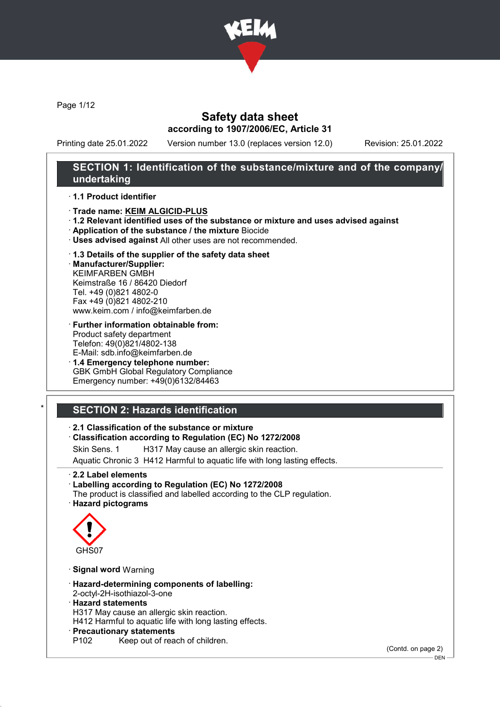

Page 1/12

### Safety data sheet according to 1907/2006/EC, Article 31

Printing date 25.01.2022 Version number 13.0 (replaces version 12.0) Revision: 25.01.2022

### SECTION 1: Identification of the substance/mixture and of the company/ undertaking

#### · 1.1 Product identifier

- · Trade name: KEIM ALGICID-PLUS
- · 1.2 Relevant identified uses of the substance or mixture and uses advised against
- · Application of the substance / the mixture Biocide
- · Uses advised against All other uses are not recommended.

#### · 1.3 Details of the supplier of the safety data sheet

· Manufacturer/Supplier: KEIMFARBEN GMBH Keimstraße 16 / 86420 Diedorf Tel. +49 (0)821 4802-0 Fax +49 (0)821 4802-210 www.keim.com / info@keimfarben.de

- · Further information obtainable from: Product safety department Telefon: 49(0)821/4802-138 E-Mail: sdb.info@keimfarben.de
- · 1.4 Emergency telephone number: GBK GmbH Global Regulatory Compliance Emergency number: +49(0)6132/84463

# **SECTION 2: Hazards identification**

#### · 2.1 Classification of the substance or mixture

#### · Classification according to Regulation (EC) No 1272/2008

Skin Sens. 1 H317 May cause an allergic skin reaction.

Aquatic Chronic 3 H412 Harmful to aquatic life with long lasting effects.

· 2.2 Label elements

· Labelling according to Regulation (EC) No 1272/2008 The product is classified and labelled according to the CLP regulation.

· Hazard pictograms



- · Signal word Warning
- · Hazard-determining components of labelling:
- 2-octyl-2H-isothiazol-3-one

#### · Hazard statements

H317 May cause an allergic skin reaction.

H412 Harmful to aquatic life with long lasting effects.

- · **Precautionary statements**<br>P102 Keep out of rea
- Keep out of reach of children.

(Contd. on page 2)

DEN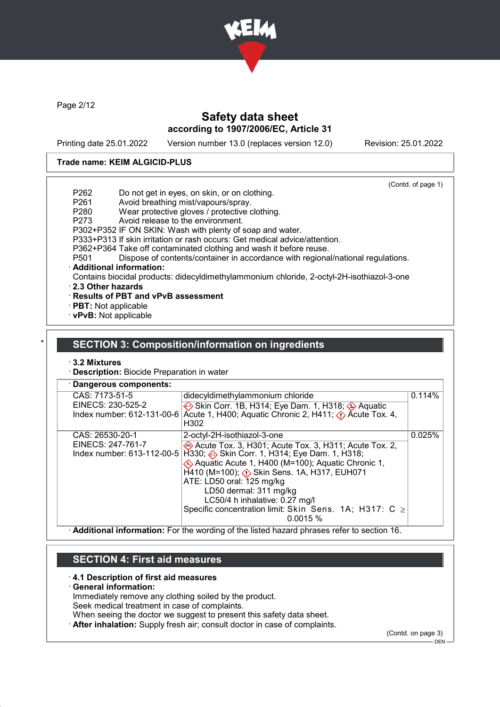

Page 2/12

### Safety data sheet according to 1907/2006/EC, Article 31

Printing date 25.01.2022 Version number 13.0 (replaces version 12.0) Revision: 25.01.2022

#### Trade name: KEIM ALGICID-PLUS

|                   |                                                                                           | (Contd. of page 1) |
|-------------------|-------------------------------------------------------------------------------------------|--------------------|
| P <sub>262</sub>  | Do not get in eyes, on skin, or on clothing.                                              |                    |
| P261              | Avoid breathing mist/vapours/spray.                                                       |                    |
| P <sub>280</sub>  | Wear protective gloves / protective clothing.                                             |                    |
| P <sub>273</sub>  | Avoid release to the environment.                                                         |                    |
|                   | P302+P352 IF ON SKIN: Wash with plenty of soap and water.                                 |                    |
|                   | P333+P313 If skin irritation or rash occurs: Get medical advice/attention.                |                    |
|                   | P362+P364 Take off contaminated clothing and wash it before reuse.                        |                    |
| P <sub>501</sub>  | Dispose of contents/container in accordance with regional/national regulations.           |                    |
|                   | · Additional information:                                                                 |                    |
|                   | Contains biocidal products: didecyldimethylammonium chloride, 2-octyl-2H-isothiazol-3-one |                    |
| 2.3 Other hazards |                                                                                           |                    |
|                   | $\cdot$ Results of PBT and vPvB assessment                                                |                    |
|                   |                                                                                           |                    |

· PBT: Not applicable

· vPvB: Not applicable

#### SECTION 3: Composition/information on ingredients

· 3.2 Mixtures

· Description: Biocide Preparation in water

| Dangerous components:                           |                                                                                                                                                                                                                                                                                                                                                                                                       |        |  |  |  |
|-------------------------------------------------|-------------------------------------------------------------------------------------------------------------------------------------------------------------------------------------------------------------------------------------------------------------------------------------------------------------------------------------------------------------------------------------------------------|--------|--|--|--|
| CAS: 7173-51-5                                  | didecyldimethylammonium chloride                                                                                                                                                                                                                                                                                                                                                                      | 0.114% |  |  |  |
| EINECS: 230-525-2<br>Index number: 612-131-00-6 | Skin Corr. 1B, H314; Eye Dam. 1, H318; Aquatic<br>Acute 1, H400; Aquatic Chronic 2, H411; $\Diamond$ Acute Tox. 4,<br>H <sub>302</sub>                                                                                                                                                                                                                                                                |        |  |  |  |
| CAS: 26530-20-1                                 | 2-octyl-2H-isothiazol-3-one                                                                                                                                                                                                                                                                                                                                                                           | 0.025% |  |  |  |
| EINECS: 247-761-7                               | Acute Tox. 3, H301; Acute Tox. 3, H311; Acute Tox. 2,<br>Index number: 613-112-00-5   H330; A Skin Corr. 1, H314; Eye Dam. 1, H318;<br>Aquatic Acute 1, H400 (M=100); Aquatic Chronic 1,<br>H410 (M=100); < Skin Sens. 1A, H317, EUH071<br>ATE: LD50 oral: 125 mg/kg<br>LD50 dermal: 311 mg/kg<br>LC50/4 h inhalative: 0.27 mg/l<br>Specific concentration limit: Skin Sens. 1A; H317: C ≥<br>0.0015% |        |  |  |  |

· Additional information: For the wording of the listed hazard phrases refer to section 16.

#### SECTION 4: First aid measures

#### · 4.1 Description of first aid measures

· General information:

Immediately remove any clothing soiled by the product.

Seek medical treatment in case of complaints.

When seeing the doctor we suggest to present this safety data sheet.

After inhalation: Supply fresh air; consult doctor in case of complaints.

(Contd. on page 3)

DEN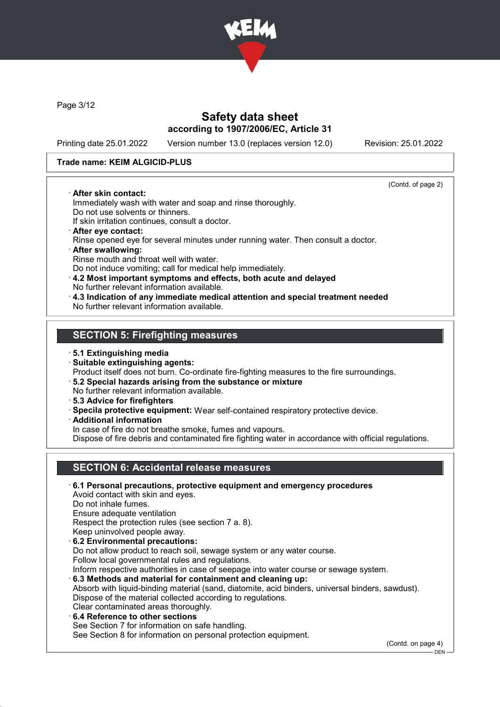

Page 3/12

### Safety data sheet according to 1907/2006/EC, Article 31

Printing date 25.01.2022 Version number 13.0 (replaces version 12.0) Revision: 25.01.2022

(Contd. of page 2)

#### Trade name: KEIM ALGICID-PLUS

#### · After skin contact:

Immediately wash with water and soap and rinse thoroughly. Do not use solvents or thinners.

If skin irritation continues, consult a doctor.

- · After eye contact: Rinse opened eye for several minutes under running water. Then consult a doctor.
- · After swallowing: Rinse mouth and throat well with water. Do not induce vomiting; call for medical help immediately.
- · 4.2 Most important symptoms and effects, both acute and delayed
- No further relevant information available.
- · 4.3 Indication of any immediate medical attention and special treatment needed No further relevant information available.

### SECTION 5: Firefighting measures

#### · 5.1 Extinguishing media

· Suitable extinguishing agents:

Product itself does not burn. Co-ordinate fire-fighting measures to the fire surroundings.

- · 5.2 Special hazards arising from the substance or mixture No further relevant information available.
- 
- · 5.3 Advice for firefighters
- · Specila protective equipment: Wear self-contained respiratory protective device.
- · Additional information

In case of fire do not breathe smoke, fumes and vapours.

Dispose of fire debris and contaminated fire fighting water in accordance with official regulations.

# SECTION 6: Accidental release measures

· 6.1 Personal precautions, protective equipment and emergency procedures Avoid contact with skin and eyes. Do not inhale fumes. Ensure adequate ventilation Respect the protection rules (see section 7 a. 8). Keep uninvolved people away. · 6.2 Environmental precautions: Do not allow product to reach soil, sewage system or any water course. Follow local governmental rules and regulations. Inform respective authorities in case of seepage into water course or sewage system. · 6.3 Methods and material for containment and cleaning up: Absorb with liquid-binding material (sand, diatomite, acid binders, universal binders, sawdust). Dispose of the material collected according to regulations. Clear contaminated areas thoroughly. 6.4 Reference to other sections See Section 7 for information on safe handling. See Section 8 for information on personal protection equipment. (Contd. on page 4)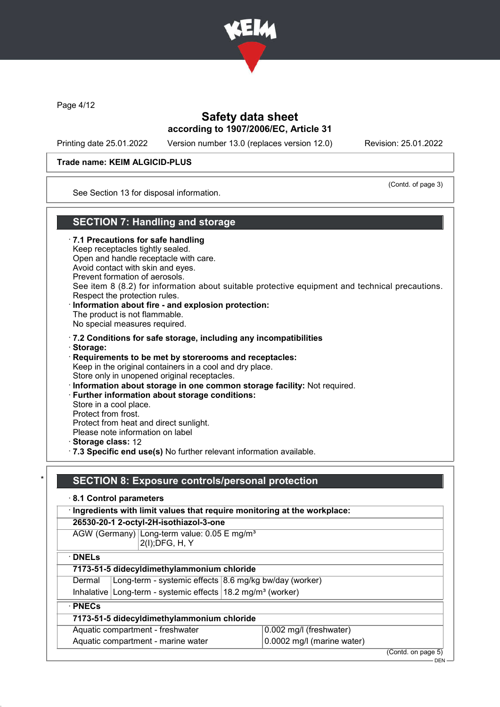

Page 4/12

### Safety data sheet according to 1907/2006/EC, Article 31

Printing date 25.01.2022 Version number 13.0 (replaces version 12.0) Revision: 25.01.2022

(Contd. of page 3)

#### Trade name: KEIM ALGICID-PLUS

See Section 13 for disposal information.

### SECTION 7: Handling and storage

· 7.1 Precautions for safe handling

Keep receptacles tightly sealed. Open and handle receptacle with care.

Avoid contact with skin and eyes.

Prevent formation of aerosols.

See item 8 (8.2) for information about suitable protective equipment and technical precautions. Respect the protection rules.

- · Information about fire and explosion protection: The product is not flammable. No special measures required.
- · 7.2 Conditions for safe storage, including any incompatibilities
- · Storage:

· Requirements to be met by storerooms and receptacles: Keep in the original containers in a cool and dry place. Store only in unopened original receptacles.

· Information about storage in one common storage facility: Not required.

· Further information about storage conditions:

Store in a cool place.

Protect from frost.

Protect from heat and direct sunlight. Please note information on label

· Storage class: 12

· 7.3 Specific end use(s) No further relevant information available.

### SECTION 8: Exposure controls/personal protection

· 8.1 Control parameters

· Ingredients with limit values that require monitoring at the workplace:

#### 26530-20-1 2-octyl-2H-isothiazol-3-one

AGW (Germany) Long-term value: 0.05 E mg/m<sup>3</sup> 2(I);DFG, H, Y

· DNELs

| 7173-51-5 didecyldimethylammonium chloride |  |
|--------------------------------------------|--|

- Dermal | Long-term systemic effects 8.6 mg/kg bw/day (worker)
- Inhalative Long-term systemic effects  $18.2$  mg/m<sup>3</sup> (worker)

· PNECs

# 7173-51-5 didecyldimethylammonium chloride

# Aquatic compartment - freshwater 0.002 mg/l (freshwater)

Aquatic compartment - marine water  $\vert$  0.0002 mg/l (marine water)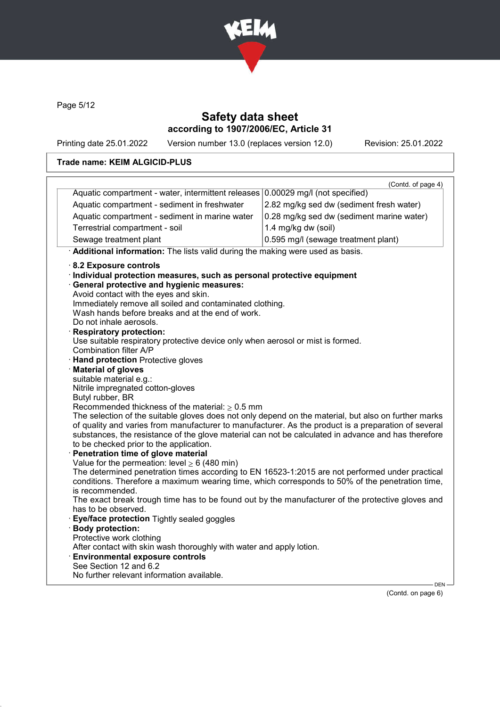

Page 5/12

### Safety data sheet according to 1907/2006/EC, Article 31

Printing date 25.01.2022 Version number 13.0 (replaces version 12.0) Revision: 25.01.2022

#### Trade name: KEIM ALGICID-PLUS

|                                                                                                                    | (Contd. of page 4)                        |  |  |
|--------------------------------------------------------------------------------------------------------------------|-------------------------------------------|--|--|
| Aquatic compartment - water, intermittent releases 0.00029 mg/l (not specified)                                    |                                           |  |  |
| Aquatic compartment - sediment in freshwater                                                                       | 2.82 mg/kg sed dw (sediment fresh water)  |  |  |
| Aquatic compartment - sediment in marine water                                                                     | 0.28 mg/kg sed dw (sediment marine water) |  |  |
| Terrestrial compartment - soil                                                                                     | 1.4 mg/kg dw (soil)                       |  |  |
| Sewage treatment plant                                                                                             | 0.595 mg/l (sewage treatment plant)       |  |  |
| Additional information: The lists valid during the making were used as basis.                                      |                                           |  |  |
| 8.2 Exposure controls                                                                                              |                                           |  |  |
| Individual protection measures, such as personal protective equipment                                              |                                           |  |  |
| · General protective and hygienic measures:                                                                        |                                           |  |  |
| Avoid contact with the eyes and skin.                                                                              |                                           |  |  |
| Immediately remove all soiled and contaminated clothing.                                                           |                                           |  |  |
| Wash hands before breaks and at the end of work.                                                                   |                                           |  |  |
| Do not inhale aerosols.                                                                                            |                                           |  |  |
| · Respiratory protection:                                                                                          |                                           |  |  |
| Use suitable respiratory protective device only when aerosol or mist is formed.<br>Combination filter A/P          |                                           |  |  |
| · Hand protection Protective gloves                                                                                |                                           |  |  |
| <b>Material of gloves</b>                                                                                          |                                           |  |  |
| suitable material e.g.:                                                                                            |                                           |  |  |
| Nitrile impregnated cotton-gloves                                                                                  |                                           |  |  |
| Butyl rubber, BR                                                                                                   |                                           |  |  |
| Recommended thickness of the material: $\geq 0.5$ mm                                                               |                                           |  |  |
| The selection of the suitable gloves does not only depend on the material, but also on further marks               |                                           |  |  |
| of quality and varies from manufacturer to manufacturer. As the product is a preparation of several                |                                           |  |  |
| substances, the resistance of the glove material can not be calculated in advance and has therefore                |                                           |  |  |
| to be checked prior to the application.                                                                            |                                           |  |  |
| · Penetration time of glove material                                                                               |                                           |  |  |
| Value for the permeation: level $\geq 6$ (480 min)                                                                 |                                           |  |  |
| The determined penetration times according to EN 16523-1:2015 are not performed under practical                    |                                           |  |  |
| conditions. Therefore a maximum wearing time, which corresponds to 50% of the penetration time,<br>is recommended. |                                           |  |  |
| The exact break trough time has to be found out by the manufacturer of the protective gloves and                   |                                           |  |  |
| has to be observed.                                                                                                |                                           |  |  |
| · Eye/face protection Tightly sealed goggles                                                                       |                                           |  |  |
|                                                                                                                    |                                           |  |  |
|                                                                                                                    |                                           |  |  |
| · Body protection:                                                                                                 |                                           |  |  |
| Protective work clothing                                                                                           |                                           |  |  |
| After contact with skin wash thoroughly with water and apply lotion.<br><b>Environmental exposure controls</b>     |                                           |  |  |
| See Section 12 and 6.2<br>No further relevant information available.                                               |                                           |  |  |

(Contd. on page 6)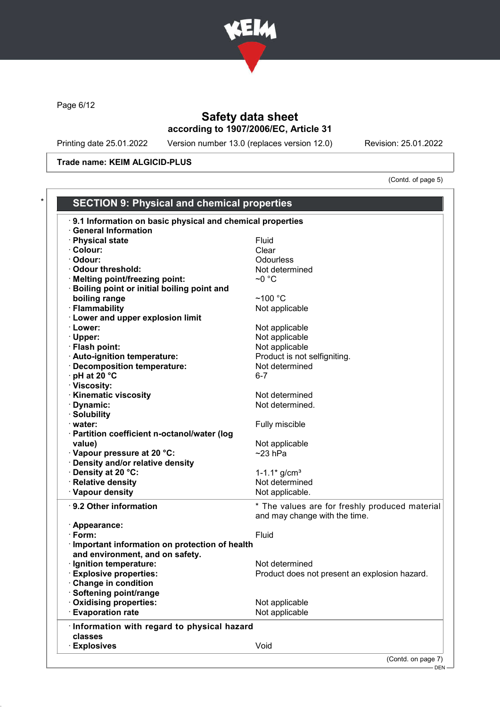

Page 6/12

# Safety data sheet according to 1907/2006/EC, Article 31

Printing date 25.01.2022 Version number 13.0 (replaces version 12.0) Revision: 25.01.2022

Trade name: KEIM ALGICID-PLUS

(Contd. of page 5)

| <b>General Information</b><br>· Physical state<br>Fluid<br>· Colour:<br>Clear<br>Odourless<br>· Odour:<br>· Odour threshold:<br>Not determined<br>$\sim$ 0 °C<br>· Melting point/freezing point:<br>· Boiling point or initial boiling point and<br>boiling range<br>$~100~^{\circ}$ C<br>· Flammability<br>Not applicable<br>· Lower and upper explosion limit<br>· Lower:<br>Not applicable<br>· Upper:<br>Not applicable<br>· Flash point:<br>Not applicable<br>· Auto-ignition temperature:<br>Product is not selfigniting.<br>· Decomposition temperature:<br>Not determined<br>$\cdot$ pH at 20 $\degree$ C<br>$6 - 7$<br>· Viscosity:<br>· Kinematic viscosity<br>Not determined<br>· Dynamic:<br>Not determined.<br>· Solubility<br>Fully miscible<br>· water:<br>· Partition coefficient n-octanol/water (log<br>Not applicable<br>value)<br>· Vapour pressure at 20 °C:<br>$~23$ hPa<br>· Density and/or relative density<br>· Density at 20 °C:<br>1-1.1 $*$ g/cm <sup>3</sup><br>· Relative density<br>Not determined<br>· Vapour density<br>Not applicable.<br>· 9.2 Other information<br>* The values are for freshly produced material<br>and may change with the time.<br>· Appearance:<br>Fluid<br>· Form:<br>· Important information on protection of health<br>and environment, and on safety.<br>· Ignition temperature:<br>Not determined<br><b>Explosive properties:</b><br>Product does not present an explosion hazard.<br>Change in condition<br>· Softening point/range<br>Oxidising properties:<br>Not applicable<br><b>Evaporation rate</b><br>Not applicable<br>· Information with regard to physical hazard<br>classes<br><b>Explosives</b><br>Void | 9.1 Information on basic physical and chemical properties |  |  |
|-----------------------------------------------------------------------------------------------------------------------------------------------------------------------------------------------------------------------------------------------------------------------------------------------------------------------------------------------------------------------------------------------------------------------------------------------------------------------------------------------------------------------------------------------------------------------------------------------------------------------------------------------------------------------------------------------------------------------------------------------------------------------------------------------------------------------------------------------------------------------------------------------------------------------------------------------------------------------------------------------------------------------------------------------------------------------------------------------------------------------------------------------------------------------------------------------------------------------------------------------------------------------------------------------------------------------------------------------------------------------------------------------------------------------------------------------------------------------------------------------------------------------------------------------------------------------------------------------------------------------------------------------------------------------------------|-----------------------------------------------------------|--|--|
|                                                                                                                                                                                                                                                                                                                                                                                                                                                                                                                                                                                                                                                                                                                                                                                                                                                                                                                                                                                                                                                                                                                                                                                                                                                                                                                                                                                                                                                                                                                                                                                                                                                                                   |                                                           |  |  |
|                                                                                                                                                                                                                                                                                                                                                                                                                                                                                                                                                                                                                                                                                                                                                                                                                                                                                                                                                                                                                                                                                                                                                                                                                                                                                                                                                                                                                                                                                                                                                                                                                                                                                   |                                                           |  |  |
|                                                                                                                                                                                                                                                                                                                                                                                                                                                                                                                                                                                                                                                                                                                                                                                                                                                                                                                                                                                                                                                                                                                                                                                                                                                                                                                                                                                                                                                                                                                                                                                                                                                                                   |                                                           |  |  |
|                                                                                                                                                                                                                                                                                                                                                                                                                                                                                                                                                                                                                                                                                                                                                                                                                                                                                                                                                                                                                                                                                                                                                                                                                                                                                                                                                                                                                                                                                                                                                                                                                                                                                   |                                                           |  |  |
|                                                                                                                                                                                                                                                                                                                                                                                                                                                                                                                                                                                                                                                                                                                                                                                                                                                                                                                                                                                                                                                                                                                                                                                                                                                                                                                                                                                                                                                                                                                                                                                                                                                                                   |                                                           |  |  |
|                                                                                                                                                                                                                                                                                                                                                                                                                                                                                                                                                                                                                                                                                                                                                                                                                                                                                                                                                                                                                                                                                                                                                                                                                                                                                                                                                                                                                                                                                                                                                                                                                                                                                   |                                                           |  |  |
|                                                                                                                                                                                                                                                                                                                                                                                                                                                                                                                                                                                                                                                                                                                                                                                                                                                                                                                                                                                                                                                                                                                                                                                                                                                                                                                                                                                                                                                                                                                                                                                                                                                                                   |                                                           |  |  |
|                                                                                                                                                                                                                                                                                                                                                                                                                                                                                                                                                                                                                                                                                                                                                                                                                                                                                                                                                                                                                                                                                                                                                                                                                                                                                                                                                                                                                                                                                                                                                                                                                                                                                   |                                                           |  |  |
|                                                                                                                                                                                                                                                                                                                                                                                                                                                                                                                                                                                                                                                                                                                                                                                                                                                                                                                                                                                                                                                                                                                                                                                                                                                                                                                                                                                                                                                                                                                                                                                                                                                                                   |                                                           |  |  |
|                                                                                                                                                                                                                                                                                                                                                                                                                                                                                                                                                                                                                                                                                                                                                                                                                                                                                                                                                                                                                                                                                                                                                                                                                                                                                                                                                                                                                                                                                                                                                                                                                                                                                   |                                                           |  |  |
|                                                                                                                                                                                                                                                                                                                                                                                                                                                                                                                                                                                                                                                                                                                                                                                                                                                                                                                                                                                                                                                                                                                                                                                                                                                                                                                                                                                                                                                                                                                                                                                                                                                                                   |                                                           |  |  |
|                                                                                                                                                                                                                                                                                                                                                                                                                                                                                                                                                                                                                                                                                                                                                                                                                                                                                                                                                                                                                                                                                                                                                                                                                                                                                                                                                                                                                                                                                                                                                                                                                                                                                   |                                                           |  |  |
|                                                                                                                                                                                                                                                                                                                                                                                                                                                                                                                                                                                                                                                                                                                                                                                                                                                                                                                                                                                                                                                                                                                                                                                                                                                                                                                                                                                                                                                                                                                                                                                                                                                                                   |                                                           |  |  |
|                                                                                                                                                                                                                                                                                                                                                                                                                                                                                                                                                                                                                                                                                                                                                                                                                                                                                                                                                                                                                                                                                                                                                                                                                                                                                                                                                                                                                                                                                                                                                                                                                                                                                   |                                                           |  |  |
|                                                                                                                                                                                                                                                                                                                                                                                                                                                                                                                                                                                                                                                                                                                                                                                                                                                                                                                                                                                                                                                                                                                                                                                                                                                                                                                                                                                                                                                                                                                                                                                                                                                                                   |                                                           |  |  |
|                                                                                                                                                                                                                                                                                                                                                                                                                                                                                                                                                                                                                                                                                                                                                                                                                                                                                                                                                                                                                                                                                                                                                                                                                                                                                                                                                                                                                                                                                                                                                                                                                                                                                   |                                                           |  |  |
|                                                                                                                                                                                                                                                                                                                                                                                                                                                                                                                                                                                                                                                                                                                                                                                                                                                                                                                                                                                                                                                                                                                                                                                                                                                                                                                                                                                                                                                                                                                                                                                                                                                                                   |                                                           |  |  |
|                                                                                                                                                                                                                                                                                                                                                                                                                                                                                                                                                                                                                                                                                                                                                                                                                                                                                                                                                                                                                                                                                                                                                                                                                                                                                                                                                                                                                                                                                                                                                                                                                                                                                   |                                                           |  |  |
|                                                                                                                                                                                                                                                                                                                                                                                                                                                                                                                                                                                                                                                                                                                                                                                                                                                                                                                                                                                                                                                                                                                                                                                                                                                                                                                                                                                                                                                                                                                                                                                                                                                                                   |                                                           |  |  |
|                                                                                                                                                                                                                                                                                                                                                                                                                                                                                                                                                                                                                                                                                                                                                                                                                                                                                                                                                                                                                                                                                                                                                                                                                                                                                                                                                                                                                                                                                                                                                                                                                                                                                   |                                                           |  |  |
|                                                                                                                                                                                                                                                                                                                                                                                                                                                                                                                                                                                                                                                                                                                                                                                                                                                                                                                                                                                                                                                                                                                                                                                                                                                                                                                                                                                                                                                                                                                                                                                                                                                                                   |                                                           |  |  |
|                                                                                                                                                                                                                                                                                                                                                                                                                                                                                                                                                                                                                                                                                                                                                                                                                                                                                                                                                                                                                                                                                                                                                                                                                                                                                                                                                                                                                                                                                                                                                                                                                                                                                   |                                                           |  |  |
|                                                                                                                                                                                                                                                                                                                                                                                                                                                                                                                                                                                                                                                                                                                                                                                                                                                                                                                                                                                                                                                                                                                                                                                                                                                                                                                                                                                                                                                                                                                                                                                                                                                                                   |                                                           |  |  |
|                                                                                                                                                                                                                                                                                                                                                                                                                                                                                                                                                                                                                                                                                                                                                                                                                                                                                                                                                                                                                                                                                                                                                                                                                                                                                                                                                                                                                                                                                                                                                                                                                                                                                   |                                                           |  |  |
|                                                                                                                                                                                                                                                                                                                                                                                                                                                                                                                                                                                                                                                                                                                                                                                                                                                                                                                                                                                                                                                                                                                                                                                                                                                                                                                                                                                                                                                                                                                                                                                                                                                                                   |                                                           |  |  |
|                                                                                                                                                                                                                                                                                                                                                                                                                                                                                                                                                                                                                                                                                                                                                                                                                                                                                                                                                                                                                                                                                                                                                                                                                                                                                                                                                                                                                                                                                                                                                                                                                                                                                   |                                                           |  |  |
|                                                                                                                                                                                                                                                                                                                                                                                                                                                                                                                                                                                                                                                                                                                                                                                                                                                                                                                                                                                                                                                                                                                                                                                                                                                                                                                                                                                                                                                                                                                                                                                                                                                                                   |                                                           |  |  |
|                                                                                                                                                                                                                                                                                                                                                                                                                                                                                                                                                                                                                                                                                                                                                                                                                                                                                                                                                                                                                                                                                                                                                                                                                                                                                                                                                                                                                                                                                                                                                                                                                                                                                   |                                                           |  |  |
|                                                                                                                                                                                                                                                                                                                                                                                                                                                                                                                                                                                                                                                                                                                                                                                                                                                                                                                                                                                                                                                                                                                                                                                                                                                                                                                                                                                                                                                                                                                                                                                                                                                                                   |                                                           |  |  |
|                                                                                                                                                                                                                                                                                                                                                                                                                                                                                                                                                                                                                                                                                                                                                                                                                                                                                                                                                                                                                                                                                                                                                                                                                                                                                                                                                                                                                                                                                                                                                                                                                                                                                   |                                                           |  |  |
|                                                                                                                                                                                                                                                                                                                                                                                                                                                                                                                                                                                                                                                                                                                                                                                                                                                                                                                                                                                                                                                                                                                                                                                                                                                                                                                                                                                                                                                                                                                                                                                                                                                                                   |                                                           |  |  |
|                                                                                                                                                                                                                                                                                                                                                                                                                                                                                                                                                                                                                                                                                                                                                                                                                                                                                                                                                                                                                                                                                                                                                                                                                                                                                                                                                                                                                                                                                                                                                                                                                                                                                   |                                                           |  |  |
|                                                                                                                                                                                                                                                                                                                                                                                                                                                                                                                                                                                                                                                                                                                                                                                                                                                                                                                                                                                                                                                                                                                                                                                                                                                                                                                                                                                                                                                                                                                                                                                                                                                                                   |                                                           |  |  |
|                                                                                                                                                                                                                                                                                                                                                                                                                                                                                                                                                                                                                                                                                                                                                                                                                                                                                                                                                                                                                                                                                                                                                                                                                                                                                                                                                                                                                                                                                                                                                                                                                                                                                   |                                                           |  |  |
|                                                                                                                                                                                                                                                                                                                                                                                                                                                                                                                                                                                                                                                                                                                                                                                                                                                                                                                                                                                                                                                                                                                                                                                                                                                                                                                                                                                                                                                                                                                                                                                                                                                                                   |                                                           |  |  |
|                                                                                                                                                                                                                                                                                                                                                                                                                                                                                                                                                                                                                                                                                                                                                                                                                                                                                                                                                                                                                                                                                                                                                                                                                                                                                                                                                                                                                                                                                                                                                                                                                                                                                   |                                                           |  |  |
|                                                                                                                                                                                                                                                                                                                                                                                                                                                                                                                                                                                                                                                                                                                                                                                                                                                                                                                                                                                                                                                                                                                                                                                                                                                                                                                                                                                                                                                                                                                                                                                                                                                                                   |                                                           |  |  |
|                                                                                                                                                                                                                                                                                                                                                                                                                                                                                                                                                                                                                                                                                                                                                                                                                                                                                                                                                                                                                                                                                                                                                                                                                                                                                                                                                                                                                                                                                                                                                                                                                                                                                   |                                                           |  |  |
|                                                                                                                                                                                                                                                                                                                                                                                                                                                                                                                                                                                                                                                                                                                                                                                                                                                                                                                                                                                                                                                                                                                                                                                                                                                                                                                                                                                                                                                                                                                                                                                                                                                                                   |                                                           |  |  |
|                                                                                                                                                                                                                                                                                                                                                                                                                                                                                                                                                                                                                                                                                                                                                                                                                                                                                                                                                                                                                                                                                                                                                                                                                                                                                                                                                                                                                                                                                                                                                                                                                                                                                   |                                                           |  |  |
|                                                                                                                                                                                                                                                                                                                                                                                                                                                                                                                                                                                                                                                                                                                                                                                                                                                                                                                                                                                                                                                                                                                                                                                                                                                                                                                                                                                                                                                                                                                                                                                                                                                                                   |                                                           |  |  |
|                                                                                                                                                                                                                                                                                                                                                                                                                                                                                                                                                                                                                                                                                                                                                                                                                                                                                                                                                                                                                                                                                                                                                                                                                                                                                                                                                                                                                                                                                                                                                                                                                                                                                   |                                                           |  |  |
|                                                                                                                                                                                                                                                                                                                                                                                                                                                                                                                                                                                                                                                                                                                                                                                                                                                                                                                                                                                                                                                                                                                                                                                                                                                                                                                                                                                                                                                                                                                                                                                                                                                                                   |                                                           |  |  |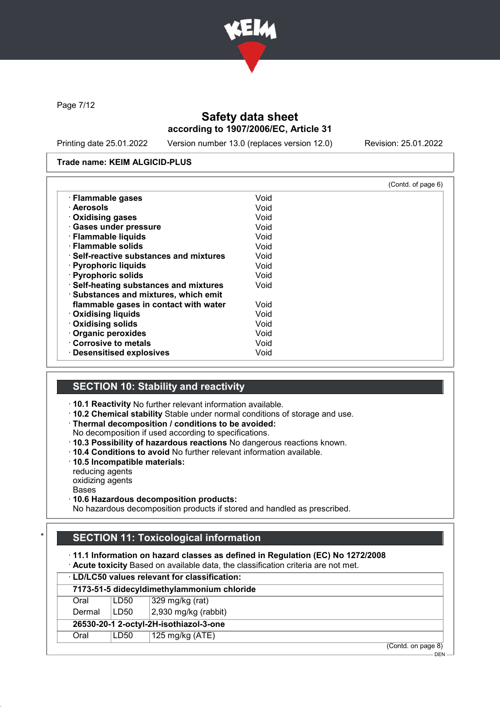

Page 7/12

### Safety data sheet according to 1907/2006/EC, Article 31

Printing date 25.01.2022 Version number 13.0 (replaces version 12.0) Revision: 25.01.2022

DEN

#### Trade name: KEIM ALGICID-PLUS

|                                               |      | (Contd. of page 6) |
|-----------------------------------------------|------|--------------------|
| · Flammable gases                             | Void |                    |
| · Aerosols                                    | Void |                    |
| · Oxidising gases                             | Void |                    |
| · Gases under pressure                        | Void |                    |
| · Flammable liquids                           | Void |                    |
| · Flammable solids                            | Void |                    |
| $\cdot$ Self-reactive substances and mixtures | Void |                    |
| · Pyrophoric liquids                          | Void |                    |
| · Pyrophoric solids                           | Void |                    |
| · Self-heating substances and mixtures        | Void |                    |
| · Substances and mixtures, which emit         |      |                    |
| flammable gases in contact with water         | Void |                    |
| <b>Oxidising liquids</b>                      | Void |                    |
| · Oxidising solids                            | Void |                    |
| Organic peroxides                             | Void |                    |
| Corrosive to metals                           | Void |                    |
| · Desensitised explosives                     | Void |                    |

# SECTION 10: Stability and reactivity

- · 10.1 Reactivity No further relevant information available.
- · 10.2 Chemical stability Stable under normal conditions of storage and use.
- · Thermal decomposition / conditions to be avoided:
- No decomposition if used according to specifications.
- · 10.3 Possibility of hazardous reactions No dangerous reactions known.
- · 10.4 Conditions to avoid No further relevant information available.
- · 10.5 Incompatible materials:
- reducing agents
- oxidizing agents
- Bases
- · 10.6 Hazardous decomposition products:

No hazardous decomposition products if stored and handled as prescribed.

### **SECTION 11: Toxicological information**

· 11.1 Information on hazard classes as defined in Regulation (EC) No 1272/2008

· Acute toxicity Based on available data, the classification criteria are not met.

|        | <b>LD/LC50 values relevant for classification:</b> |                                            |                    |  |  |
|--------|----------------------------------------------------|--------------------------------------------|--------------------|--|--|
|        |                                                    | 7173-51-5 didecyldimethylammonium chloride |                    |  |  |
| Oral   | LD50                                               | 329 mg/kg (rat)                            |                    |  |  |
| Dermal | LD50                                               | $ 2,930 \text{ mg/kg}$ (rabbit)            |                    |  |  |
|        | 26530-20-1 2-octyl-2H-isothiazol-3-one             |                                            |                    |  |  |
| Oral   | LD50                                               | 125 mg/kg (ATE)                            |                    |  |  |
|        |                                                    |                                            | (Contd. on page 8) |  |  |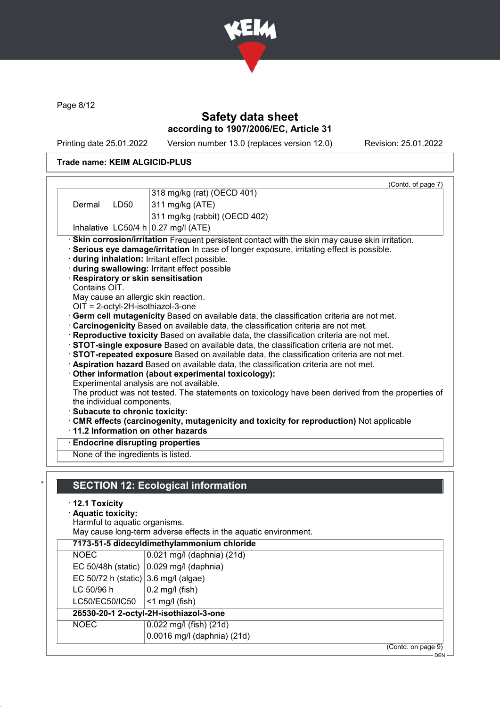

Page 8/12

# Safety data sheet according to 1907/2006/EC, Article 31

Printing date 25.01.2022 Version number 13.0 (replaces version 12.0) Revision: 25.01.2022

DEN

### Trade name: KEIM ALGICID-PLUS

|                                              |                               |                                                                                                                                                                                                                                                                                                                                                                                                                                                                                                                                                                                                                                                                                                                                                                                                                                                                                               | (Contd. of page 7) |
|----------------------------------------------|-------------------------------|-----------------------------------------------------------------------------------------------------------------------------------------------------------------------------------------------------------------------------------------------------------------------------------------------------------------------------------------------------------------------------------------------------------------------------------------------------------------------------------------------------------------------------------------------------------------------------------------------------------------------------------------------------------------------------------------------------------------------------------------------------------------------------------------------------------------------------------------------------------------------------------------------|--------------------|
|                                              |                               | 318 mg/kg (rat) (OECD 401)                                                                                                                                                                                                                                                                                                                                                                                                                                                                                                                                                                                                                                                                                                                                                                                                                                                                    |                    |
| Dermal                                       | LD50                          | 311 mg/kg (ATE)                                                                                                                                                                                                                                                                                                                                                                                                                                                                                                                                                                                                                                                                                                                                                                                                                                                                               |                    |
|                                              |                               | 311 mg/kg (rabbit) (OECD 402)                                                                                                                                                                                                                                                                                                                                                                                                                                                                                                                                                                                                                                                                                                                                                                                                                                                                 |                    |
|                                              |                               | Inhalative $ LC50/4 h 0.27 mg/l (ATE)$                                                                                                                                                                                                                                                                                                                                                                                                                                                                                                                                                                                                                                                                                                                                                                                                                                                        |                    |
|                                              |                               | · Skin corrosion/irritation Frequent persistent contact with the skin may cause skin irritation.<br>Serious eye damage/irritation In case of longer exposure, irritating effect is possible.<br>during inhalation: Irritant effect possible.<br>during swallowing: Irritant effect possible<br>Respiratory or skin sensitisation                                                                                                                                                                                                                                                                                                                                                                                                                                                                                                                                                              |                    |
| Contains OIT.                                |                               |                                                                                                                                                                                                                                                                                                                                                                                                                                                                                                                                                                                                                                                                                                                                                                                                                                                                                               |                    |
|                                              |                               | May cause an allergic skin reaction.                                                                                                                                                                                                                                                                                                                                                                                                                                                                                                                                                                                                                                                                                                                                                                                                                                                          |                    |
| · Subacute to chronic toxicity:              | the individual components.    | OIT = 2-octyl-2H-isothiazol-3-one<br>Germ cell mutagenicity Based on available data, the classification criteria are not met.<br>Carcinogenicity Based on available data, the classification criteria are not met.<br>Reproductive toxicity Based on available data, the classification criteria are not met.<br>STOT-single exposure Based on available data, the classification criteria are not met.<br>STOT-repeated exposure Based on available data, the classification criteria are not met.<br>Aspiration hazard Based on available data, the classification criteria are not met.<br>Other information (about experimental toxicology):<br>Experimental analysis are not available.<br>The product was not tested. The statements on toxicology have been derived from the properties of<br>. CMR effects (carcinogenity, mutagenicity and toxicity for reproduction) Not applicable |                    |
|                                              |                               | ⋅11.2 Information on other hazards                                                                                                                                                                                                                                                                                                                                                                                                                                                                                                                                                                                                                                                                                                                                                                                                                                                            |                    |
|                                              |                               | <b>Endocrine disrupting properties</b><br>None of the ingredients is listed.                                                                                                                                                                                                                                                                                                                                                                                                                                                                                                                                                                                                                                                                                                                                                                                                                  |                    |
| $\cdot$ 12.1 Toxicity<br>· Aquatic toxicity: | Harmful to aquatic organisms. | <b>SECTION 12: Ecological information</b>                                                                                                                                                                                                                                                                                                                                                                                                                                                                                                                                                                                                                                                                                                                                                                                                                                                     |                    |
|                                              |                               | May cause long-term adverse effects in the aquatic environment.                                                                                                                                                                                                                                                                                                                                                                                                                                                                                                                                                                                                                                                                                                                                                                                                                               |                    |
|                                              |                               | 7173-51-5 didecyldimethylammonium chloride                                                                                                                                                                                                                                                                                                                                                                                                                                                                                                                                                                                                                                                                                                                                                                                                                                                    |                    |

|                                         | 7173-51-5 didecyldimethylammonium chloride         |
|-----------------------------------------|----------------------------------------------------|
| <b>NOEC</b>                             | $\vert$ 0.021 mg/l (daphnia) (21d)                 |
|                                         | EC 50/48h (static) $ 0.029 \text{ mg/l}$ (daphnia) |
| EC 50/72 h (static) $ 3.6$ mg/l (algae) |                                                    |
| LC 50/96 h                              | $0.2$ mg/l (fish)                                  |
| LC50/EC50/IC50                          | $ $ <1 mg/l (fish)                                 |
|                                         | 26530-20-1 2-octyl-2H-isothiazol-3-one             |
| <b>NOEC</b>                             | $0.022$ mg/l (fish) (21d)                          |
|                                         | 0.0016 mg/l (daphnia) (21d)                        |
|                                         | (Contd. on page 9)                                 |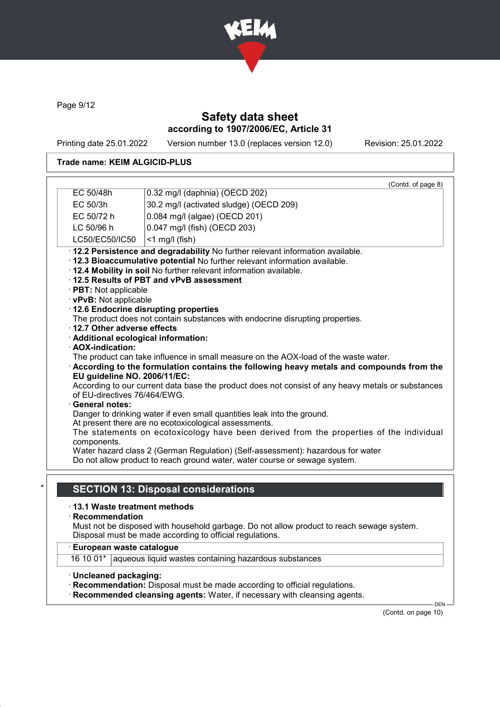

Page 9/12

# Safety data sheet according to 1907/2006/EC, Article 31

Printing date 25.01.2022 Version number 13.0 (replaces version 12.0) Revision: 25.01.2022

#### Trade name: KEIM ALGICID-PLUS

|                              | EC 50/48h                                                                                                               | (Contd. of page 8)<br>0.32 mg/l (daphnia) (OECD 202)                                                                                             |  |  |  |  |  |
|------------------------------|-------------------------------------------------------------------------------------------------------------------------|--------------------------------------------------------------------------------------------------------------------------------------------------|--|--|--|--|--|
|                              | EC 50/3h                                                                                                                | 30.2 mg/l (activated sludge) (OECD 209)                                                                                                          |  |  |  |  |  |
|                              | EC 50/72 h                                                                                                              | 0.084 mg/l (algae) (OECD 201)                                                                                                                    |  |  |  |  |  |
|                              | LC 50/96 h                                                                                                              | 0.047 mg/l (fish) (OECD 203)                                                                                                                     |  |  |  |  |  |
|                              | LC50/EC50/IC50                                                                                                          | $<$ 1 mg/l (fish)                                                                                                                                |  |  |  |  |  |
|                              |                                                                                                                         | · 12.2 Persistence and degradability No further relevant information available.                                                                  |  |  |  |  |  |
|                              |                                                                                                                         | · 12.3 Bioaccumulative potential No further relevant information available.                                                                      |  |  |  |  |  |
|                              |                                                                                                                         | . 12.4 Mobility in soil No further relevant information available.                                                                               |  |  |  |  |  |
|                              |                                                                                                                         | 12.5 Results of PBT and vPvB assessment                                                                                                          |  |  |  |  |  |
|                              | · PBT: Not applicable                                                                                                   |                                                                                                                                                  |  |  |  |  |  |
|                              | · vPvB: Not applicable                                                                                                  |                                                                                                                                                  |  |  |  |  |  |
|                              |                                                                                                                         | · 12.6 Endocrine disrupting properties<br>The product does not contain substances with endocrine disrupting properties.                          |  |  |  |  |  |
|                              | 12.7 Other adverse effects                                                                                              |                                                                                                                                                  |  |  |  |  |  |
|                              |                                                                                                                         | · Additional ecological information:                                                                                                             |  |  |  |  |  |
|                              | · AOX-indication:                                                                                                       |                                                                                                                                                  |  |  |  |  |  |
|                              |                                                                                                                         | The product can take influence in small measure on the AOX-load of the waste water.                                                              |  |  |  |  |  |
|                              | According to the formulation contains the following heavy metals and compounds from the<br>EU quideline NO. 2006/11/EC: |                                                                                                                                                  |  |  |  |  |  |
|                              | According to our current data base the product does not consist of any heavy metals or substances                       |                                                                                                                                                  |  |  |  |  |  |
| of EU-directives 76/464/EWG. |                                                                                                                         |                                                                                                                                                  |  |  |  |  |  |
|                              | <b>General notes:</b>                                                                                                   |                                                                                                                                                  |  |  |  |  |  |
|                              |                                                                                                                         | Danger to drinking water if even small quantities leak into the ground.                                                                          |  |  |  |  |  |
|                              |                                                                                                                         | At present there are no ecotoxicological assessments.<br>The statements on ecotoxicology have been derived from the properties of the individual |  |  |  |  |  |
|                              | components.                                                                                                             |                                                                                                                                                  |  |  |  |  |  |
|                              |                                                                                                                         | Water hazard class 2 (German Regulation) (Self-assessment): hazardous for water                                                                  |  |  |  |  |  |
|                              |                                                                                                                         | Do not allow product to reach ground water, water course or sewage system.                                                                       |  |  |  |  |  |
|                              |                                                                                                                         |                                                                                                                                                  |  |  |  |  |  |
|                              |                                                                                                                         | <b>SECTION 13: Disposal considerations</b>                                                                                                       |  |  |  |  |  |
|                              |                                                                                                                         |                                                                                                                                                  |  |  |  |  |  |
|                              | ⋅13.1 Waste treatment methods                                                                                           |                                                                                                                                                  |  |  |  |  |  |
|                              | $\cdot$ Recommendation                                                                                                  | Must not be disposed with household garbage. Do not allow product to reach sewage system.                                                        |  |  |  |  |  |
|                              |                                                                                                                         | Disposal must be made according to official regulations.                                                                                         |  |  |  |  |  |
|                              | · European waste catalogue                                                                                              |                                                                                                                                                  |  |  |  |  |  |
|                              |                                                                                                                         | 16 10 01* aqueous liquid wastes containing hazardous substances                                                                                  |  |  |  |  |  |

· Uncleaned packaging:

· Recommendation: Disposal must be made according to official regulations.

· Recommended cleansing agents: Water, if necessary with cleansing agents.

(Contd. on page 10)

 $-DEN$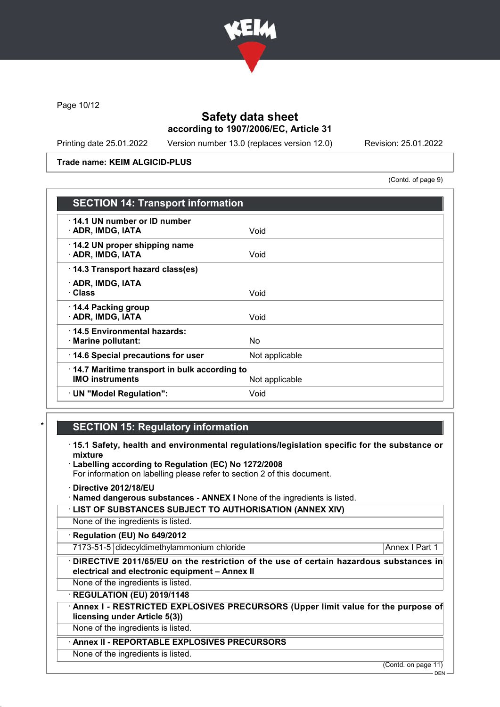

Page 10/12

### Safety data sheet according to 1907/2006/EC, Article 31

Printing date 25.01.2022 Version number 13.0 (replaces version 12.0) Revision: 25.01.2022

#### Trade name: KEIM ALGICID-PLUS

(Contd. of page 9)

| <b>SECTION 14: Transport information</b>                               |                |
|------------------------------------------------------------------------|----------------|
| 14.1 UN number or ID number<br>· ADR, IMDG, IATA                       | Void           |
| 14.2 UN proper shipping name<br>· ADR, IMDG, IATA                      | Void           |
| 14.3 Transport hazard class(es)                                        |                |
| · ADR, IMDG, IATA<br>· Class                                           | Void           |
| 14.4 Packing group<br>· ADR, IMDG, IATA                                | Void           |
| 14.5 Environmental hazards:<br>· Marine pollutant:                     | No.            |
| 14.6 Special precautions for user                                      | Not applicable |
| 14.7 Maritime transport in bulk according to<br><b>IMO instruments</b> | Not applicable |
| · UN "Model Regulation":                                               | Void           |

# **SECTION 15: Regulatory information**

- · 15.1 Safety, health and environmental regulations/legislation specific for the substance or mixture
- · Labelling according to Regulation (EC) No 1272/2008
- For information on labelling please refer to section 2 of this document.
- · Directive 2012/18/EU
- · Named dangerous substances ANNEX I None of the ingredients is listed.
- · LIST OF SUBSTANCES SUBJECT TO AUTHORISATION (ANNEX XIV)

None of the ingredients is listed.

· Regulation (EU) No 649/2012

7173-51-5 didecyldimethylammonium chloride Annex I Part 1

· DIRECTIVE 2011/65/EU on the restriction of the use of certain hazardous substances in electrical and electronic equipment – Annex II

None of the ingredients is listed.

· REGULATION (EU) 2019/1148

Annex I - RESTRICTED EXPLOSIVES PRECURSORS (Upper limit value for the purpose of licensing under Article 5(3))

None of the ingredients is listed.

#### Annex II - REPORTABLE EXPLOSIVES PRECURSORS

None of the ingredients is listed.

(Contd. on page 11)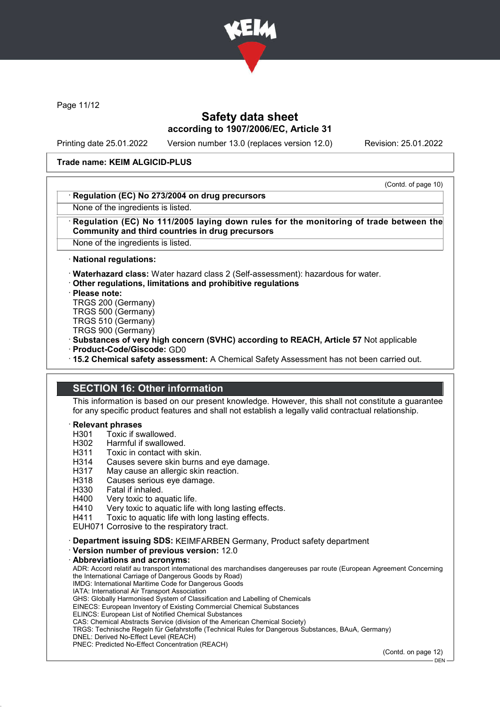

Page 11/12

### Safety data sheet according to 1907/2006/EC, Article 31

Printing date 25.01.2022 Version number 13.0 (replaces version 12.0) Revision: 25.01.2022

#### Trade name: KEIM ALGICID-PLUS

(Contd. of page 10)

#### Regulation (EC) No 273/2004 on drug precursors

None of the ingredients is listed.

#### Regulation (EC) No 111/2005 laying down rules for the monitoring of trade between the Community and third countries in drug precursors

None of the ingredients is listed.

· National regulations:

· Waterhazard class: Water hazard class 2 (Self-assessment): hazardous for water.

· Other regulations, limitations and prohibitive regulations

· Please note:

TRGS 200 (Germany)

TRGS 500 (Germany)

TRGS 510 (Germany)

TRGS 900 (Germany)

· Substances of very high concern (SVHC) according to REACH, Article 57 Not applicable

· Product-Code/Giscode: GD0

· 15.2 Chemical safety assessment: A Chemical Safety Assessment has not been carried out.

### SECTION 16: Other information

This information is based on our present knowledge. However, this shall not constitute a guarantee for any specific product features and shall not establish a legally valid contractual relationship.

# **Relevant phrases**<br>H301 Toxic if sv

H301 Toxic if swallowed.<br>H302 Harmful if swallowe

- Harmful if swallowed.
- H311 Toxic in contact with skin.
- H314 Causes severe skin burns and eye damage.
- H317 May cause an allergic skin reaction.
- H318 Causes serious eye damage.
- H330 Fatal if inhaled.
- H400 Very toxic to aquatic life.<br>H410 Very toxic to aquatic life
- Very toxic to aquatic life with long lasting effects.

H411 Toxic to aquatic life with long lasting effects.

EUH071 Corrosive to the respiratory tract.

· Department issuing SDS: KEIMFARBEN Germany, Product safety department

· Version number of previous version: 12.0

Abbreviations and acronyms: ADR: Accord relatif au transport international des marchandises dangereuses par route (European Agreement Concerning the International Carriage of Dangerous Goods by Road) IMDG: International Maritime Code for Dangerous Goods IATA: International Air Transport Association GHS: Globally Harmonised System of Classification and Labelling of Chemicals EINECS: European Inventory of Existing Commercial Chemical Substances ELINCS: European List of Notified Chemical Substances CAS: Chemical Abstracts Service (division of the American Chemical Society) TRGS: Technische Regeln für Gefahrstoffe (Technical Rules for Dangerous Substances, BAuA, Germany) DNEL: Derived No-Effect Level (REACH) PNEC: Predicted No-Effect Concentration (REACH)

(Contd. on page 12)

 $-$  DEN